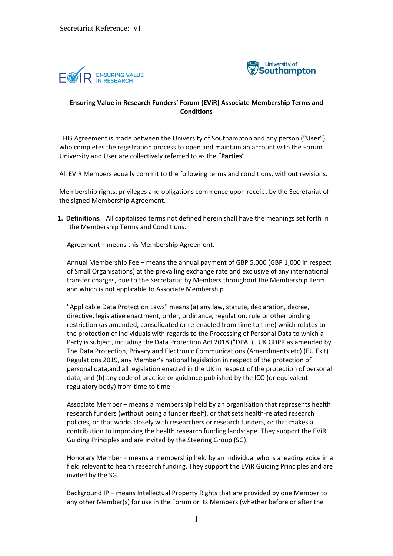



## **Ensuring Value in Research Funders' Forum (EViR) Associate Membership Terms and Conditions**

THIS Agreement is made between the University of Southampton and any person ("**User**") who completes the registration process to open and maintain an account with the Forum. University and User are collectively referred to as the "**Parties**".

All EViR Members equally commit to the following terms and conditions, without revisions.

Membership rights, privileges and obligations commence upon receipt by the Secretariat of the signed Membership Agreement.

**1. Definitions.** All capitalised terms not defined herein shall have the meanings set forth in the Membership Terms and Conditions.

Agreement – means this Membership Agreement.

Annual Membership Fee – means the annual payment of GBP 5,000 (GBP 1,000 in respect of Small Organisations) at the prevailing exchange rate and exclusive of any international transfer charges, due to the Secretariat by Members throughout the Membership Term and which is not applicable to Associate Membership.

"Applicable Data Protection Laws" means (a) any law, statute, declaration, decree, directive, legislative enactment, order, ordinance, regulation, rule or other binding restriction (as amended, consolidated or re-enacted from time to time) which relates to the protection of individuals with regards to the Processing of Personal Data to which a Party is subject, including the Data Protection Act 2018 ("DPA"), UK GDPR as amended by The Data Protection, Privacy and Electronic Communications (Amendments etc) (EU Exit) Regulations 2019, any Member's national legislation in respect of the protection of personal data,and all legislation enacted in the UK in respect of the protection of personal data; and (b) any code of practice or guidance published by the ICO (or equivalent regulatory body) from time to time.

Associate Member – means a membership held by an organisation that represents health research funders (without being a funder itself), or that sets health-related research policies, or that works closely with researchers or research funders, or that makes a contribution to improving the health research funding landscape. They support the EViR Guiding Principles and are invited by the Steering Group (SG).

Honorary Member – means a membership held by an individual who is a leading voice in a field relevant to health research funding. They support the EViR Guiding Principles and are invited by the SG.

Background IP – means Intellectual Property Rights that are provided by one Member to any other Member(s) for use in the Forum or its Members (whether before or after the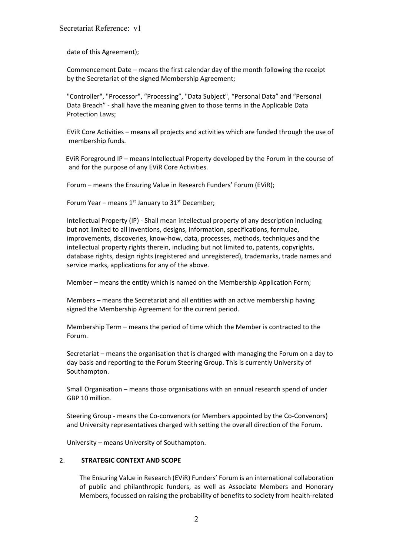date of this Agreement);

Commencement Date – means the first calendar day of the month following the receipt by the Secretariat of the signed Membership Agreement;

"Controller", "Processor", "Processing", "Data Subject", "Personal Data" and "Personal Data Breach" - shall have the meaning given to those terms in the Applicable Data Protection Laws;

EViR Core Activities – means all projects and activities which are funded through the use of membership funds.

 EViR Foreground IP – means Intellectual Property developed by the Forum in the course of and for the purpose of any EViR Core Activities.

Forum – means the Ensuring Value in Research Funders' Forum (EViR);

Forum Year – means  $1^{st}$  January to  $31^{st}$  December;

Intellectual Property (IP) - Shall mean intellectual property of any description including but not limited to all inventions, designs, information, specifications, formulae, improvements, discoveries, know-how, data, processes, methods, techniques and the intellectual property rights therein, including but not limited to, patents, copyrights, database rights, design rights (registered and unregistered), trademarks, trade names and service marks, applications for any of the above.

Member – means the entity which is named on the Membership Application Form;

Members – means the Secretariat and all entities with an active membership having signed the Membership Agreement for the current period.

Membership Term – means the period of time which the Member is contracted to the Forum.

Secretariat – means the organisation that is charged with managing the Forum on a day to day basis and reporting to the Forum Steering Group. This is currently University of Southampton.

Small Organisation – means those organisations with an annual research spend of under GBP 10 million.

Steering Group - means the Co-convenors (or Members appointed by the Co-Convenors) and University representatives charged with setting the overall direction of the Forum.

University – means University of Southampton.

#### 2. **STRATEGIC CONTEXT AND SCOPE**

The Ensuring Value in Research (EViR) Funders' Forum is an international collaboration of public and philanthropic funders, as well as Associate Members and Honorary Members, focussed on raising the probability of benefits to society from health-related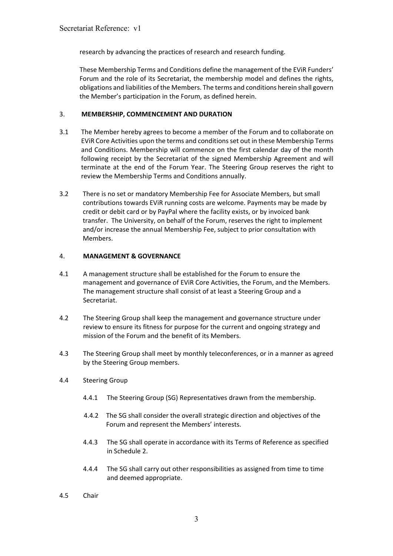research by advancing the practices of research and research funding.

These Membership Terms and Conditions define the management of the EViR Funders' Forum and the role of its Secretariat, the membership model and defines the rights, obligations and liabilities of the Members. The terms and conditions herein shall govern the Member's participation in the Forum, as defined herein.

### 3. **MEMBERSHIP, COMMENCEMENT AND DURATION**

- 3.1 The Member hereby agrees to become a member of the Forum and to collaborate on EViR Core Activities upon the terms and conditions set out in these Membership Terms and Conditions. Membership will commence on the first calendar day of the month following receipt by the Secretariat of the signed Membership Agreement and will terminate at the end of the Forum Year. The Steering Group reserves the right to review the Membership Terms and Conditions annually.
- 3.2 There is no set or mandatory Membership Fee for Associate Members, but small contributions towards EViR running costs are welcome. Payments may be made by credit or debit card or by PayPal where the facility exists, or by invoiced bank transfer. The University, on behalf of the Forum, reserves the right to implement and/or increase the annual Membership Fee, subject to prior consultation with Members.

#### 4. **MANAGEMENT & GOVERNANCE**

- 4.1 A management structure shall be established for the Forum to ensure the management and governance of EViR Core Activities, the Forum, and the Members. The management structure shall consist of at least a Steering Group and a Secretariat.
- 4.2 The Steering Group shall keep the management and governance structure under review to ensure its fitness for purpose for the current and ongoing strategy and mission of the Forum and the benefit of its Members.
- 4.3 The Steering Group shall meet by monthly teleconferences, or in a manner as agreed by the Steering Group members.
- 4.4 Steering Group
	- 4.4.1 The Steering Group (SG) Representatives drawn from the membership.
	- 4.4.2 The SG shall consider the overall strategic direction and objectives of the Forum and represent the Members' interests.
	- 4.4.3 The SG shall operate in accordance with its Terms of Reference as specified in Schedule 2.
	- 4.4.4 The SG shall carry out other responsibilities as assigned from time to time and deemed appropriate.
- 4.5 Chair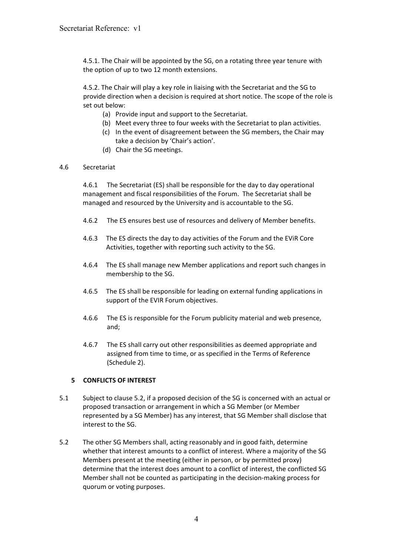4.5.1. The Chair will be appointed by the SG, on a rotating three year tenure with the option of up to two 12 month extensions.

4.5.2. The Chair will play a key role in liaising with the Secretariat and the SG to provide direction when a decision is required at short notice. The scope of the role is set out below:

- (a) Provide input and support to the Secretariat.
- (b) Meet every three to four weeks with the Secretariat to plan activities.
- (c) In the event of disagreement between the SG members, the Chair may take a decision by 'Chair's action'.
- (d) Chair the SG meetings.

#### 4.6 Secretariat

4.6.1 The Secretariat (ES) shall be responsible for the day to day operational management and fiscal responsibilities of the Forum. The Secretariat shall be managed and resourced by the University and is accountable to the SG.

- 4.6.2 The ES ensures best use of resources and delivery of Member benefits.
- 4.6.3 The ES directs the day to day activities of the Forum and the EViR Core Activities, together with reporting such activity to the SG.
- 4.6.4 The ES shall manage new Member applications and report such changes in membership to the SG.
- 4.6.5 The ES shall be responsible for leading on external funding applications in support of the EVIR Forum objectives.
- 4.6.6 The ES is responsible for the Forum publicity material and web presence, and;
- 4.6.7 The ES shall carry out other responsibilities as deemed appropriate and assigned from time to time, or as specified in the Terms of Reference (Schedule 2).

## **5 CONFLICTS OF INTEREST**

- 5.1 Subject to clause 5.2, if a proposed decision of the SG is concerned with an actual or proposed transaction or arrangement in which a SG Member (or Member represented by a SG Member) has any interest, that SG Member shall disclose that interest to the SG.
- 5.2 The other SG Members shall, acting reasonably and in good faith, determine whether that interest amounts to a conflict of interest. Where a majority of the SG Members present at the meeting (either in person, or by permitted proxy) determine that the interest does amount to a conflict of interest, the conflicted SG Member shall not be counted as participating in the decision-making process for quorum or voting purposes.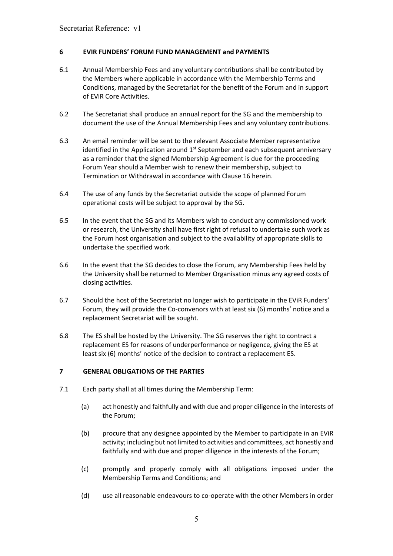#### **6 EVIR FUNDERS' FORUM FUND MANAGEMENT and PAYMENTS**

- 6.1 Annual Membership Fees and any voluntary contributions shall be contributed by the Members where applicable in accordance with the Membership Terms and Conditions, managed by the Secretariat for the benefit of the Forum and in support of EViR Core Activities.
- 6.2 The Secretariat shall produce an annual report for the SG and the membership to document the use of the Annual Membership Fees and any voluntary contributions.
- 6.3 An email reminder will be sent to the relevant Associate Member representative identified in the Application around  $1<sup>st</sup>$  September and each subsequent anniversary as a reminder that the signed Membership Agreement is due for the proceeding Forum Year should a Member wish to renew their membership, subject to Termination or Withdrawal in accordance with Clause 16 herein.
- 6.4 The use of any funds by the Secretariat outside the scope of planned Forum operational costs will be subject to approval by the SG.
- 6.5 In the event that the SG and its Members wish to conduct any commissioned work or research, the University shall have first right of refusal to undertake such work as the Forum host organisation and subject to the availability of appropriate skills to undertake the specified work.
- 6.6 In the event that the SG decides to close the Forum, any Membership Fees held by the University shall be returned to Member Organisation minus any agreed costs of closing activities.
- 6.7 Should the host of the Secretariat no longer wish to participate in the EViR Funders' Forum, they will provide the Co-convenors with at least six (6) months' notice and a replacement Secretariat will be sought.
- 6.8 The ES shall be hosted by the University. The SG reserves the right to contract a replacement ES for reasons of underperformance or negligence, giving the ES at least six (6) months' notice of the decision to contract a replacement ES.

## **7 GENERAL OBLIGATIONS OF THE PARTIES**

- 7.1 Each party shall at all times during the Membership Term:
	- (a) act honestly and faithfully and with due and proper diligence in the interests of the Forum;
	- (b) procure that any designee appointed by the Member to participate in an EViR activity; including but not limited to activities and committees, act honestly and faithfully and with due and proper diligence in the interests of the Forum;
	- (c) promptly and properly comply with all obligations imposed under the Membership Terms and Conditions; and
	- (d) use all reasonable endeavours to co-operate with the other Members in order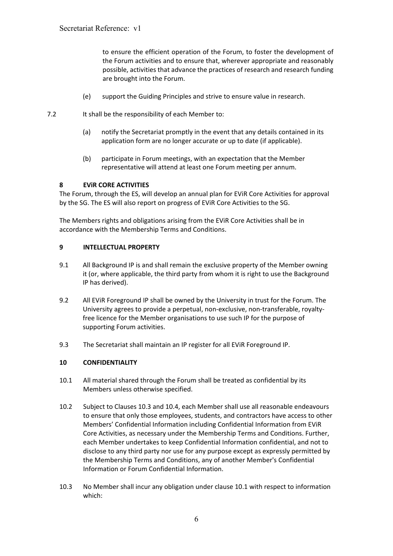to ensure the efficient operation of the Forum, to foster the development of the Forum activities and to ensure that, wherever appropriate and reasonably possible, activities that advance the practices of research and research funding are brought into the Forum.

- (e) support the Guiding Principles and strive to ensure value in research.
- 7.2 It shall be the responsibility of each Member to:
	- (a) notify the Secretariat promptly in the event that any details contained in its application form are no longer accurate or up to date (if applicable).
	- (b) participate in Forum meetings, with an expectation that the Member representative will attend at least one Forum meeting per annum.

#### **8 EViR CORE ACTIVITIES**

The Forum, through the ES, will develop an annual plan for EViR Core Activities for approval by the SG. The ES will also report on progress of EViR Core Activities to the SG.

The Members rights and obligations arising from the EViR Core Activities shall be in accordance with the Membership Terms and Conditions.

#### **9 INTELLECTUAL PROPERTY**

- 9.1 All Background IP is and shall remain the exclusive property of the Member owning it (or, where applicable, the third party from whom it is right to use the Background IP has derived).
- 9.2 All EViR Foreground IP shall be owned by the University in trust for the Forum. The University agrees to provide a perpetual, non-exclusive, non-transferable, royaltyfree licence for the Member organisations to use such IP for the purpose of supporting Forum activities.
- 9.3 The Secretariat shall maintain an IP register for all EViR Foreground IP.

#### **10 CONFIDENTIALITY**

- 10.1 All material shared through the Forum shall be treated as confidential by its Members unless otherwise specified.
- 10.2 Subject to Clauses 10.3 and 10.4, each Member shall use all reasonable endeavours to ensure that only those employees, students, and contractors have access to other Members' Confidential Information including Confidential Information from EViR Core Activities, as necessary under the Membership Terms and Conditions. Further, each Member undertakes to keep Confidential Information confidential, and not to disclose to any third party nor use for any purpose except as expressly permitted by the Membership Terms and Conditions, any of another Member's Confidential Information or Forum Confidential Information.
- 10.3 No Member shall incur any obligation under clause 10.1 with respect to information which: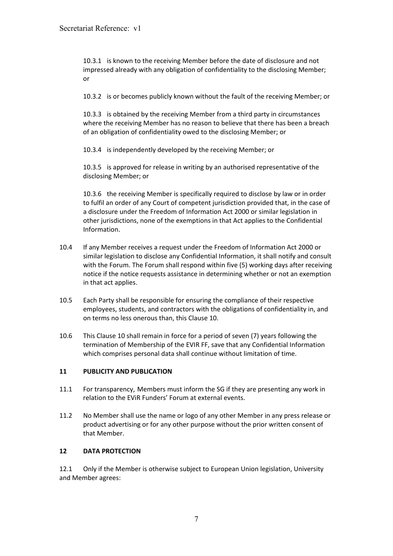10.3.1 is known to the receiving Member before the date of disclosure and not impressed already with any obligation of confidentiality to the disclosing Member; or

10.3.2 is or becomes publicly known without the fault of the receiving Member; or

10.3.3 is obtained by the receiving Member from a third party in circumstances where the receiving Member has no reason to believe that there has been a breach of an obligation of confidentiality owed to the disclosing Member; or

10.3.4 is independently developed by the receiving Member; or

10.3.5 is approved for release in writing by an authorised representative of the disclosing Member; or

10.3.6 the receiving Member is specifically required to disclose by law or in order to fulfil an order of any Court of competent jurisdiction provided that, in the case of a disclosure under the Freedom of Information Act 2000 or similar legislation in other jurisdictions, none of the exemptions in that Act applies to the Confidential Information.

- 10.4 If any Member receives a request under the Freedom of Information Act 2000 or similar legislation to disclose any Confidential Information, it shall notify and consult with the Forum. The Forum shall respond within five (5) working days after receiving notice if the notice requests assistance in determining whether or not an exemption in that act applies.
- 10.5 Each Party shall be responsible for ensuring the compliance of their respective employees, students, and contractors with the obligations of confidentiality in, and on terms no less onerous than, this Clause 10.
- 10.6 This Clause 10 shall remain in force for a period of seven (7) years following the termination of Membership of the EVIR FF, save that any Confidential Information which comprises personal data shall continue without limitation of time.

## **11 PUBLICITY AND PUBLICATION**

- 11.1 For transparency, Members must inform the SG if they are presenting any work in relation to the EViR Funders' Forum at external events.
- 11.2 No Member shall use the name or logo of any other Member in any press release or product advertising or for any other purpose without the prior written consent of that Member.

#### **12 DATA PROTECTION**

12.1 Only if the Member is otherwise subject to European Union legislation, University and Member agrees: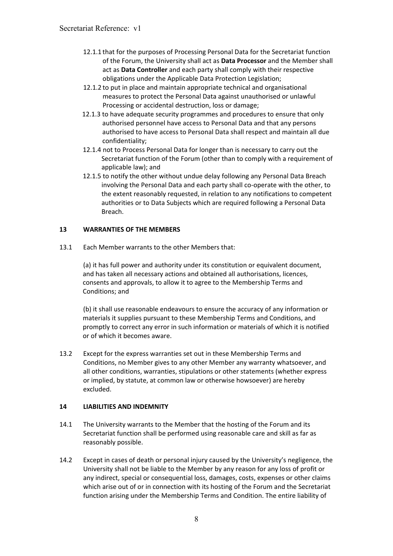- 12.1.1 that for the purposes of Processing Personal Data for the Secretariat function of the Forum, the University shall act as **Data Processor** and the Member shall act as **Data Controller** and each party shall comply with their respective obligations under the Applicable Data Protection Legislation;
- 12.1.2 to put in place and maintain appropriate technical and organisational measures to protect the Personal Data against unauthorised or unlawful Processing or accidental destruction, loss or damage;
- 12.1.3 to have adequate security programmes and procedures to ensure that only authorised personnel have access to Personal Data and that any persons authorised to have access to Personal Data shall respect and maintain all due confidentiality;
- 12.1.4 not to Process Personal Data for longer than is necessary to carry out the Secretariat function of the Forum (other than to comply with a requirement of applicable law); and
- 12.1.5 to notify the other without undue delay following any Personal Data Breach involving the Personal Data and each party shall co-operate with the other, to the extent reasonably requested, in relation to any notifications to competent authorities or to Data Subjects which are required following a Personal Data Breach.

## **13 WARRANTIES OF THE MEMBERS**

13.1 Each Member warrants to the other Members that:

(a) it has full power and authority under its constitution or equivalent document, and has taken all necessary actions and obtained all authorisations, licences, consents and approvals, to allow it to agree to the Membership Terms and Conditions; and

(b) it shall use reasonable endeavours to ensure the accuracy of any information or materials it supplies pursuant to these Membership Terms and Conditions, and promptly to correct any error in such information or materials of which it is notified or of which it becomes aware.

13.2 Except for the express warranties set out in these Membership Terms and Conditions, no Member gives to any other Member any warranty whatsoever, and all other conditions, warranties, stipulations or other statements (whether express or implied, by statute, at common law or otherwise howsoever) are hereby excluded.

## **14 LIABILITIES AND INDEMNITY**

- 14.1 The University warrants to the Member that the hosting of the Forum and its Secretariat function shall be performed using reasonable care and skill as far as reasonably possible.
- 14.2 Except in cases of death or personal injury caused by the University's negligence, the University shall not be liable to the Member by any reason for any loss of profit or any indirect, special or consequential loss, damages, costs, expenses or other claims which arise out of or in connection with its hosting of the Forum and the Secretariat function arising under the Membership Terms and Condition. The entire liability of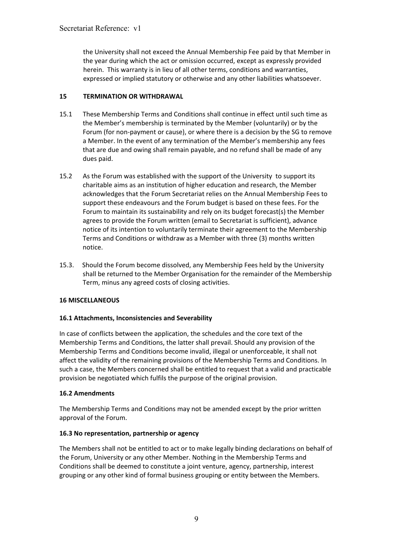the University shall not exceed the Annual Membership Fee paid by that Member in the year during which the act or omission occurred, except as expressly provided herein. This warranty is in lieu of all other terms, conditions and warranties, expressed or implied statutory or otherwise and any other liabilities whatsoever.

## **15 TERMINATION OR WITHDRAWAL**

- 15.1 These Membership Terms and Conditions shall continue in effect until such time as the Member's membership is terminated by the Member (voluntarily) or by the Forum (for non-payment or cause), or where there is a decision by the SG to remove a Member. In the event of any termination of the Member's membership any fees that are due and owing shall remain payable, and no refund shall be made of any dues paid.
- 15.2 As the Forum was established with the support of the University to support its charitable aims as an institution of higher education and research, the Member acknowledges that the Forum Secretariat relies on the Annual Membership Fees to support these endeavours and the Forum budget is based on these fees. For the Forum to maintain its sustainability and rely on its budget forecast(s) the Member agrees to provide the Forum written (email to Secretariat is sufficient), advance notice of its intention to voluntarily terminate their agreement to the Membership Terms and Conditions or withdraw as a Member with three (3) months written notice.
- 15.3. Should the Forum become dissolved, any Membership Fees held by the University shall be returned to the Member Organisation for the remainder of the Membership Term, minus any agreed costs of closing activities.

## **16 MISCELLANEOUS**

## **16.1 Attachments, Inconsistencies and Severability**

In case of conflicts between the application, the schedules and the core text of the Membership Terms and Conditions, the latter shall prevail. Should any provision of the Membership Terms and Conditions become invalid, illegal or unenforceable, it shall not affect the validity of the remaining provisions of the Membership Terms and Conditions. In such a case, the Members concerned shall be entitled to request that a valid and practicable provision be negotiated which fulfils the purpose of the original provision.

## **16.2 Amendments**

The Membership Terms and Conditions may not be amended except by the prior written approval of the Forum.

## **16.3 No representation, partnership or agency**

The Members shall not be entitled to act or to make legally binding declarations on behalf of the Forum, University or any other Member. Nothing in the Membership Terms and Conditions shall be deemed to constitute a joint venture, agency, partnership, interest grouping or any other kind of formal business grouping or entity between the Members.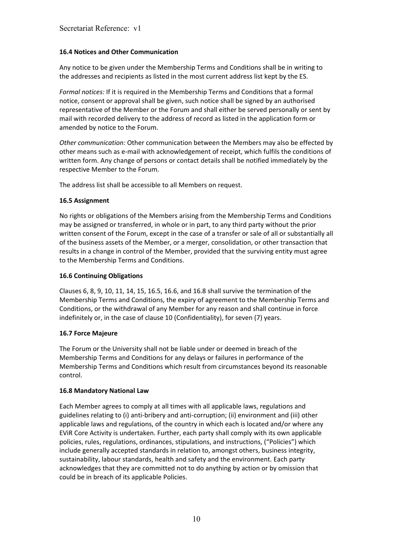### **16.4 Notices and Other Communication**

Any notice to be given under the Membership Terms and Conditions shall be in writing to the addresses and recipients as listed in the most current address list kept by the ES.

*Formal notices:* If it is required in the Membership Terms and Conditions that a formal notice, consent or approval shall be given, such notice shall be signed by an authorised representative of the Member or the Forum and shall either be served personally or sent by mail with recorded delivery to the address of record as listed in the application form or amended by notice to the Forum.

*Other communication:* Other communication between the Members may also be effected by other means such as e-mail with acknowledgement of receipt, which fulfils the conditions of written form. Any change of persons or contact details shall be notified immediately by the respective Member to the Forum.

The address list shall be accessible to all Members on request.

#### **16.5 Assignment**

No rights or obligations of the Members arising from the Membership Terms and Conditions may be assigned or transferred, in whole or in part, to any third party without the prior written consent of the Forum, except in the case of a transfer or sale of all or substantially all of the business assets of the Member, or a merger, consolidation, or other transaction that results in a change in control of the Member, provided that the surviving entity must agree to the Membership Terms and Conditions.

### **16.6 Continuing Obligations**

Clauses 6, 8, 9, 10, 11, 14, 15, 16.5, 16.6, and 16.8 shall survive the termination of the Membership Terms and Conditions, the expiry of agreement to the Membership Terms and Conditions, or the withdrawal of any Member for any reason and shall continue in force indefinitely or, in the case of clause 10 (Confidentiality), for seven (7) years.

## **16.7 Force Majeure**

The Forum or the University shall not be liable under or deemed in breach of the Membership Terms and Conditions for any delays or failures in performance of the Membership Terms and Conditions which result from circumstances beyond its reasonable control.

#### **16.8 Mandatory National Law**

Each Member agrees to comply at all times with all applicable laws, regulations and guidelines relating to (i) anti-bribery and anti-corruption; (ii) environment and (iii) other applicable laws and regulations, of the country in which each is located and/or where any EViR Core Activity is undertaken. Further, each party shall comply with its own applicable policies, rules, regulations, ordinances, stipulations, and instructions, ("Policies") which include generally accepted standards in relation to, amongst others, business integrity, sustainability, labour standards, health and safety and the environment. Each party acknowledges that they are committed not to do anything by action or by omission that could be in breach of its applicable Policies.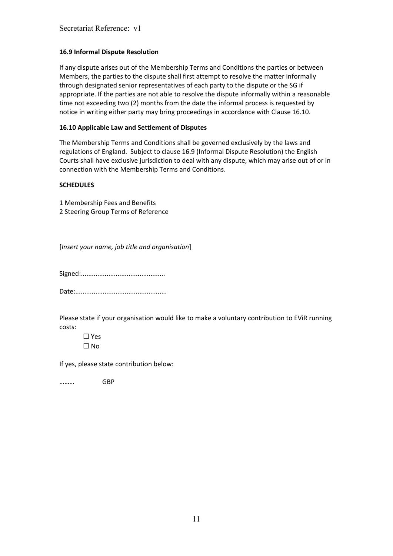### **16.9 Informal Dispute Resolution**

If any dispute arises out of the Membership Terms and Conditions the parties or between Members, the parties to the dispute shall first attempt to resolve the matter informally through designated senior representatives of each party to the dispute or the SG if appropriate. If the parties are not able to resolve the dispute informally within a reasonable time not exceeding two (2) months from the date the informal process is requested by notice in writing either party may bring proceedings in accordance with Clause 16.10.

#### **16.10 Applicable Law and Settlement of Disputes**

The Membership Terms and Conditions shall be governed exclusively by the laws and regulations of England. Subject to clause 16.9 (Informal Dispute Resolution) the English Courts shall have exclusive jurisdiction to deal with any dispute, which may arise out of or in connection with the Membership Terms and Conditions.

#### **SCHEDULES**

1 Membership Fees and Benefits 2 Steering Group Terms of Reference

[*Insert your name, job title and organisation*]

Signed:..............................................

Date:..................................................

Please state if your organisation would like to make a voluntary contribution to EViR running costs:

☐ Yes ☐ No

If yes, please state contribution below:

……… GBP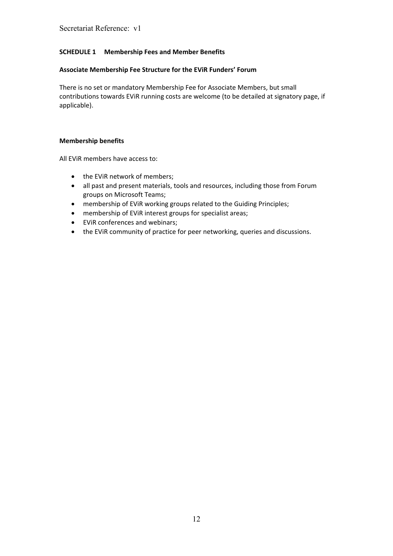## **SCHEDULE 1 Membership Fees and Member Benefits**

#### **Associate Membership Fee Structure for the EViR Funders' Forum**

There is no set or mandatory Membership Fee for Associate Members, but small contributions towards EViR running costs are welcome (to be detailed at signatory page, if applicable).

#### **Membership benefits**

All EViR members have access to:

- the EViR network of members;
- all past and present materials, tools and resources, including those from Forum groups on Microsoft Teams;
- membership of EViR working groups related to the Guiding Principles;
- membership of EViR interest groups for specialist areas;
- EViR conferences and webinars;
- the EViR community of practice for peer networking, queries and discussions.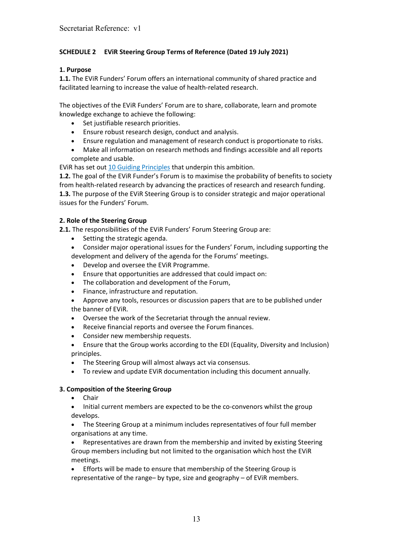# **SCHEDULE 2 EViR Steering Group Terms of Reference (Dated 19 July 2021)**

## **1. Purpose**

**1.1.** The EViR Funders' Forum offers an international community of shared practice and facilitated learning to increase the value of health-related research.

The objectives of the EViR Funders' Forum are to share, collaborate, learn and promote knowledge exchange to achieve the following:

- Set justifiable research priorities.
- Ensure robust research design, conduct and analysis.
- Ensure regulation and management of research conduct is proportionate to risks.
- Make all information on research methods and findings accessible and all reports complete and usable.

EViR has set out [10 Guiding Principles](https://evir.org/our-principles/) that underpin this ambition.

**1.2.** The goal of the EViR Funder's Forum is to maximise the probability of benefits to society from health-related research by advancing the practices of research and research funding. **1.3.** The purpose of the EViR Steering Group is to consider strategic and major operational issues for the Funders' Forum.

## **2. Role of the Steering Group**

**2.1.** The responsibilities of the EViR Funders' Forum Steering Group are:

- Setting the strategic agenda.
- Consider major operational issues for the Funders' Forum, including supporting the development and delivery of the agenda for the Forums' meetings.
- Develop and oversee the EViR Programme.
- Ensure that opportunities are addressed that could impact on:
- The collaboration and development of the Forum,
- Finance, infrastructure and reputation.
- Approve any tools, resources or discussion papers that are to be published under the banner of EViR.
- Oversee the work of the Secretariat through the annual review.
- Receive financial reports and oversee the Forum finances.
- Consider new membership requests.
- Ensure that the Group works according to the EDI (Equality, Diversity and Inclusion) principles.
- The Steering Group will almost always act via consensus.
- To review and update EViR documentation including this document annually.

## **3. Composition of the Steering Group**

- Chair
- Initial current members are expected to be the co-convenors whilst the group develops.
- The Steering Group at a minimum includes representatives of four full member organisations at any time.

• Representatives are drawn from the membership and invited by existing Steering Group members including but not limited to the organisation which host the EViR meetings.

• Efforts will be made to ensure that membership of the Steering Group is representative of the range– by type, size and geography – of EViR members.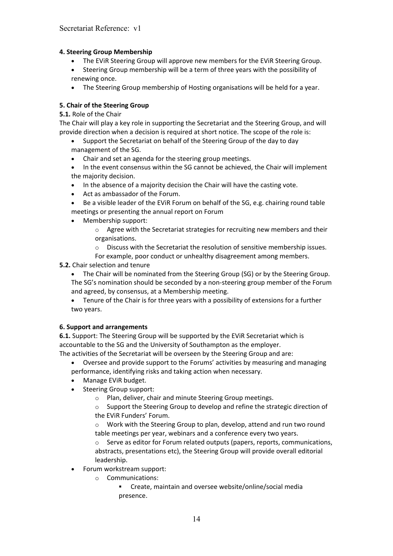## **4. Steering Group Membership**

- The EViR Steering Group will approve new members for the EViR Steering Group.
- Steering Group membership will be a term of three years with the possibility of renewing once.
- The Steering Group membership of Hosting organisations will be held for a year.

### **5. Chair of the Steering Group**

#### **5.1.** Role of the Chair

The Chair will play a key role in supporting the Secretariat and the Steering Group, and will provide direction when a decision is required at short notice. The scope of the role is:

- Support the Secretariat on behalf of the Steering Group of the day to day management of the SG.
- Chair and set an agenda for the steering group meetings.
- In the event consensus within the SG cannot be achieved, the Chair will implement the majority decision.
- In the absence of a majority decision the Chair will have the casting vote.
- Act as ambassador of the Forum.
- Be a visible leader of the EViR Forum on behalf of the SG, e.g. chairing round table meetings or presenting the annual report on Forum
- Membership support:
	- $\circ$  Agree with the Secretariat strategies for recruiting new members and their organisations.
	- o Discuss with the Secretariat the resolution of sensitive membership issues.
	- For example, poor conduct or unhealthy disagreement among members.

#### **5.2.** Chair selection and tenure

- The Chair will be nominated from the Steering Group (SG) or by the Steering Group. The SG's nomination should be seconded by a non-steering group member of the Forum and agreed, by consensus, at a Membership meeting.
- Tenure of the Chair is for three years with a possibility of extensions for a further two years.

#### **6. Support and arrangements**

**6.1.** Support: The Steering Group will be supported by the EViR Secretariat which is accountable to the SG and the University of Southampton as the employer. The activities of the Secretariat will be overseen by the Steering Group and are:

- Oversee and provide support to the Forums' activities by measuring and managing
- performance, identifying risks and taking action when necessary.
- Manage EViR budget.
- Steering Group support:
	- o Plan, deliver, chair and minute Steering Group meetings.
	- o Support the Steering Group to develop and refine the strategic direction of the EViR Funders' Forum.
	- o Work with the Steering Group to plan, develop, attend and run two round table meetings per year, webinars and a conference every two years.
	- $\circ$  Serve as editor for Forum related outputs (papers, reports, communications, abstracts, presentations etc), the Steering Group will provide overall editorial leadership.
- Forum workstream support:
	- o Communications:
		- Create, maintain and oversee website/online/social media presence.